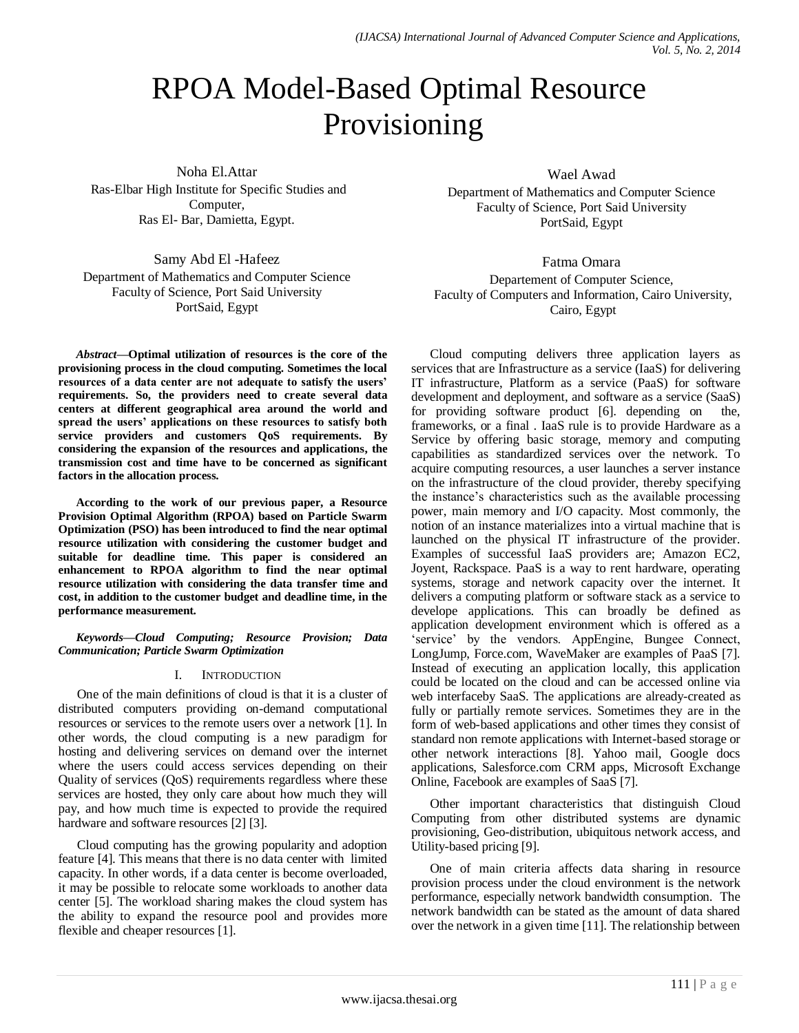# RPOA Model-Based Optimal Resource Provisioning

Noha El.Attar Ras-Elbar High Institute for Specific Studies and Computer, Ras El- Bar, Damietta, Egypt.

Samy Abd El -Hafeez

Department of Mathematics and Computer Science Faculty of Science, Port Said University PortSaid, Egypt

*Abstract***—Optimal utilization of resources is the core of the provisioning process in the cloud computing. Sometimes the local resources of a data center are not adequate to satisfy the users' requirements. So, the providers need to create several data centers at different geographical area around the world and spread the users' applications on these resources to satisfy both service providers and customers QoS requirements. By considering the expansion of the resources and applications, the transmission cost and time have to be concerned as significant factors in the allocation process.** 

**According to the work of our previous paper, a Resource Provision Optimal Algorithm (RPOA) based on Particle Swarm Optimization (PSO) has been introduced to find the near optimal resource utilization with considering the customer budget and suitable for deadline time. This paper is considered an enhancement to RPOA algorithm to find the near optimal resource utilization with considering the data transfer time and cost, in addition to the customer budget and deadline time, in the performance measurement.**

*Keywords***—***Cloud Computing; Resource Provision; Data Communication; Particle Swarm Optimization*

## I. INTRODUCTION

One of the main definitions of cloud is that it is a cluster of distributed computers providing on-demand computational resources or services to the remote users over a network [1]. In other words, the cloud computing is a new paradigm for hosting and delivering services on demand over the internet where the users could access services depending on their Quality of services (QoS) requirements regardless where these services are hosted, they only care about how much they will pay, and how much time is expected to provide the required hardware and software resources [2] [3].

Cloud computing has the growing popularity and adoption feature [4]. This means that there is no data center with limited capacity. In other words, if a data center is become overloaded, it may be possible to relocate some workloads to another data center [5]. The workload sharing makes the cloud system has the ability to expand the resource pool and provides more flexible and cheaper resources [1].

Wael Awad

Department of Mathematics and Computer Science Faculty of Science, Port Said University PortSaid, Egypt

Fatma Omara

Departement of Computer Science, Faculty of Computers and Information, Cairo University, Cairo, Egypt

Cloud computing delivers three application layers as services that are Infrastructure as a service (IaaS) for delivering IT infrastructure, Platform as a service (PaaS) for software development and deployment, and software as a service (SaaS) for providing software product [6]. depending on the, frameworks, or a final . IaaS rule is to provide Hardware as a Service by offering basic storage, memory and computing capabilities as standardized services over the network. To acquire computing resources, a user launches a server instance on the infrastructure of the cloud provider, thereby specifying the instance's characteristics such as the available processing power, main memory and I/O capacity. Most commonly, the notion of an instance materializes into a virtual machine that is launched on the physical IT infrastructure of the provider. Examples of successful IaaS providers are; Amazon EC2, Joyent, Rackspace. PaaS is a way to rent hardware, operating systems, storage and network capacity over the internet. It delivers a computing platform or software stack as a service to develope applications. This can broadly be defined as application development environment which is offered as a 'service' by the vendors. AppEngine, Bungee Connect, LongJump, Force.com, WaveMaker are examples of PaaS [7]. Instead of executing an application locally, this application could be located on the cloud and can be accessed online via web interfaceby SaaS. The applications are already-created as fully or partially remote services. Sometimes they are in the form of web-based applications and other times they consist of standard non remote applications with Internet-based storage or other network interactions [8]. Yahoo mail, Google docs applications, Salesforce.com CRM apps, Microsoft Exchange Online, Facebook are examples of SaaS [7].

Other important characteristics that distinguish Cloud Computing from other distributed systems are dynamic provisioning, Geo-distribution, ubiquitous network access, and Utility-based pricing [9].

One of main criteria affects data sharing in resource provision process under the cloud environment is the network performance, especially network bandwidth consumption. The network bandwidth can be stated as the amount of data shared over the network in a given time [11]. The relationship between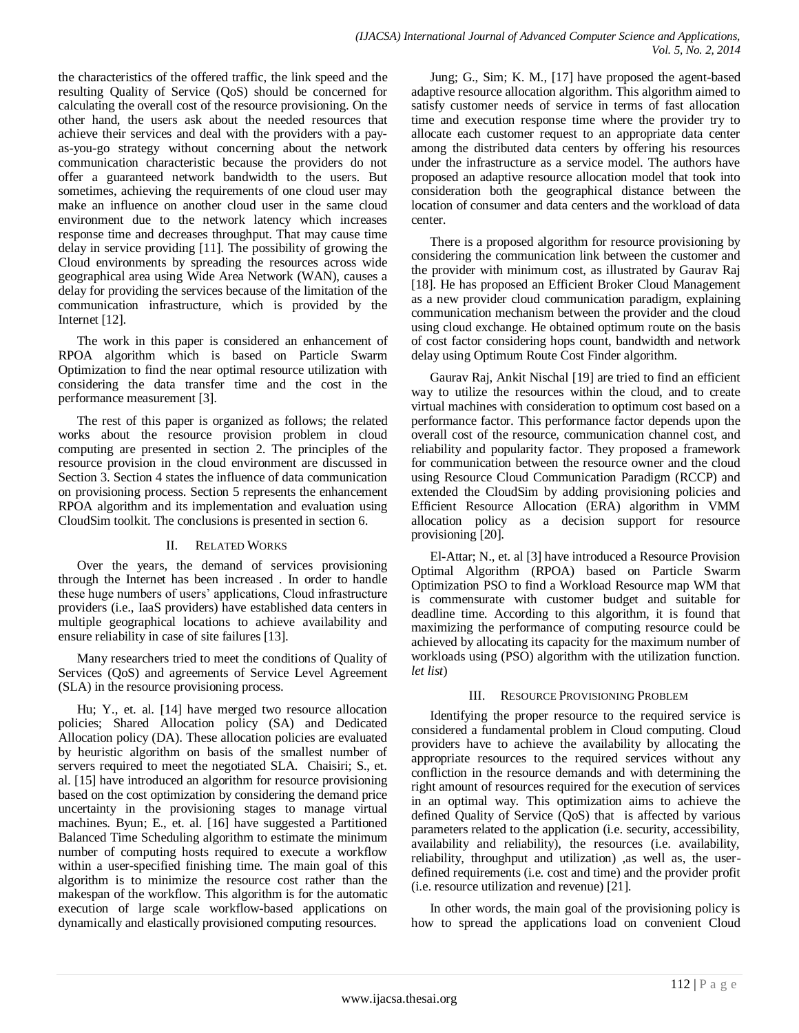the characteristics of the offered traffic, the link speed and the resulting Quality of Service (QoS) should be concerned for calculating the overall cost of the resource provisioning. On the other hand, the users ask about the needed resources that achieve their services and deal with the providers with a payas-you-go strategy without concerning about the network communication characteristic because the providers do not offer a guaranteed network bandwidth to the users. But sometimes, achieving the requirements of one cloud user may make an influence on another cloud user in the same cloud environment due to the network latency which increases response time and decreases throughput. That may cause time delay in service providing [11]. The possibility of growing the Cloud environments by spreading the resources across wide geographical area using Wide Area Network (WAN), causes a delay for providing the services because of the limitation of the communication infrastructure, which is provided by the Internet [12].

The work in this paper is considered an enhancement of RPOA algorithm which is based on Particle Swarm Optimization to find the near optimal resource utilization with considering the data transfer time and the cost in the performance measurement [3].

The rest of this paper is organized as follows; the related works about the resource provision problem in cloud computing are presented in section 2. The principles of the resource provision in the cloud environment are discussed in Section 3. Section 4 states the influence of data communication on provisioning process. Section 5 represents the enhancement RPOA algorithm and its implementation and evaluation using CloudSim toolkit. The conclusions is presented in section 6.

## II. RELATED WORKS

Over the years, the demand of services provisioning through the Internet has been increased . In order to handle these huge numbers of users' applications, Cloud infrastructure providers (i.e., IaaS providers) have established data centers in multiple geographical locations to achieve availability and ensure reliability in case of site failures [13].

Many researchers tried to meet the conditions of Quality of Services (QoS) and agreements of Service Level Agreement (SLA) in the resource provisioning process.

Hu; Y., et. al. [14] have merged two resource allocation policies; Shared Allocation policy (SA) and Dedicated Allocation policy (DA). These allocation policies are evaluated by heuristic algorithm on basis of the smallest number of servers required to meet the negotiated SLA. Chaisiri; S., et. al. [15] have introduced an algorithm for resource provisioning based on the cost optimization by considering the demand price uncertainty in the provisioning stages to manage virtual machines. Byun; E., et. al. [16] have suggested a Partitioned Balanced Time Scheduling algorithm to estimate the minimum number of computing hosts required to execute a workflow within a user-specified finishing time. The main goal of this algorithm is to minimize the resource cost rather than the makespan of the workflow. This algorithm is for the automatic execution of large scale workflow-based applications on dynamically and elastically provisioned computing resources.

Jung; G., Sim; K. M., [17] have proposed the agent-based adaptive resource allocation algorithm. This algorithm aimed to satisfy customer needs of service in terms of fast allocation time and execution response time where the provider try to allocate each customer request to an appropriate data center among the distributed data centers by offering his resources under the infrastructure as a service model. The authors have proposed an adaptive resource allocation model that took into consideration both the geographical distance between the location of consumer and data centers and the workload of data center.

There is a proposed algorithm for resource provisioning by considering the communication link between the customer and the provider with minimum cost, as illustrated by Gaurav Raj [18]. He has proposed an Efficient Broker Cloud Management as a new provider cloud communication paradigm, explaining communication mechanism between the provider and the cloud using cloud exchange. He obtained optimum route on the basis of cost factor considering hops count, bandwidth and network delay using Optimum Route Cost Finder algorithm.

Gaurav Raj, Ankit Nischal [19] are tried to find an efficient way to utilize the resources within the cloud, and to create virtual machines with consideration to optimum cost based on a performance factor. This performance factor depends upon the overall cost of the resource, communication channel cost, and reliability and popularity factor. They proposed a framework for communication between the resource owner and the cloud using Resource Cloud Communication Paradigm (RCCP) and extended the CloudSim by adding provisioning policies and Efficient Resource Allocation (ERA) algorithm in VMM allocation policy as a decision support for resource provisioning [20].

El-Attar; N., et. al [3] have introduced a Resource Provision Optimal Algorithm (RPOA) based on Particle Swarm Optimization PSO to find a Workload Resource map WM that is commensurate with customer budget and suitable for deadline time. According to this algorithm, it is found that maximizing the performance of computing resource could be achieved by allocating its capacity for the maximum number of workloads using (PSO) algorithm with the utilization function. *let list*)

## III. RESOURCE PROVISIONING PROBLEM

Identifying the proper resource to the required service is considered a fundamental problem in Cloud computing. Cloud providers have to achieve the availability by allocating the appropriate resources to the required services without any confliction in the resource demands and with determining the right amount of resources required for the execution of services in an optimal way. This optimization aims to achieve the defined Quality of Service (QoS) that is affected by various parameters related to the application (i.e. security, accessibility, availability and reliability), the resources (i.e. availability, reliability, throughput and utilization) ,as well as, the userdefined requirements (i.e. cost and time) and the provider profit (i.e. resource utilization and revenue) [21].

In other words, the main goal of the provisioning policy is how to spread the applications load on convenient Cloud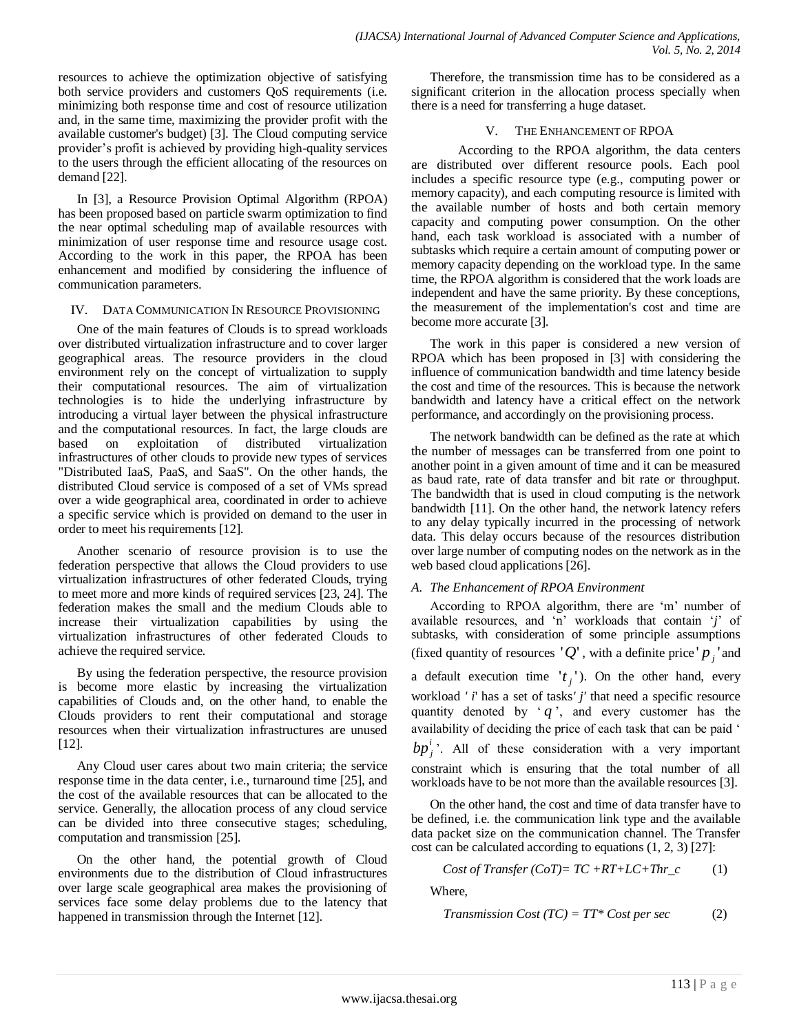resources to achieve the optimization objective of satisfying both service providers and customers QoS requirements (i.e. minimizing both response time and cost of resource utilization and, in the same time, maximizing the provider profit with the available customer's budget) [3]. The Cloud computing service provider's profit is achieved by providing high-quality services to the users through the efficient allocating of the resources on demand [22].

In [3], a Resource Provision Optimal Algorithm (RPOA) has been proposed based on particle swarm optimization to find the near optimal scheduling map of available resources with minimization of user response time and resource usage cost. According to the work in this paper, the RPOA has been enhancement and modified by considering the influence of communication parameters.

#### IV. DATA COMMUNICATION IN RESOURCE PROVISIONING

One of the main features of Clouds is to spread workloads over distributed virtualization infrastructure and to cover larger geographical areas. The resource providers in the cloud environment rely on the concept of virtualization to supply their computational resources. The aim of virtualization technologies is to hide the underlying infrastructure by introducing a virtual layer between the physical infrastructure and the computational resources. In fact, the large clouds are based on exploitation of distributed virtualization infrastructures of other clouds to provide new types of services "Distributed IaaS, PaaS, and SaaS". On the other hands, the distributed Cloud service is composed of a set of VMs spread over a wide geographical area, coordinated in order to achieve a specific service which is provided on demand to the user in order to meet his requirements [12].

Another scenario of resource provision is to use the federation perspective that allows the Cloud providers to use virtualization infrastructures of other federated Clouds, trying to meet more and more kinds of required services [23, 24]. The federation makes the small and the medium Clouds able to increase their virtualization capabilities by using the virtualization infrastructures of other federated Clouds to achieve the required service.

By using the federation perspective, the resource provision is become more elastic by increasing the virtualization capabilities of Clouds and, on the other hand, to enable the Clouds providers to rent their computational and storage resources when their virtualization infrastructures are unused [12].

Any Cloud user cares about two main criteria; the service response time in the data center, i.e., turnaround time [25], and the cost of the available resources that can be allocated to the service. Generally, the allocation process of any cloud service can be divided into three consecutive stages; scheduling, computation and transmission [25].

On the other hand, the potential growth of Cloud environments due to the distribution of Cloud infrastructures over large scale geographical area makes the provisioning of services face some delay problems due to the latency that happened in transmission through the Internet [12].

Therefore, the transmission time has to be considered as a significant criterion in the allocation process specially when there is a need for transferring a huge dataset.

### V. THE ENHANCEMENT OF RPOA

According to the RPOA algorithm, the data centers are distributed over different resource pools. Each pool includes a specific resource type (e.g., computing power or memory capacity), and each computing resource is limited with the available number of hosts and both certain memory capacity and computing power consumption. On the other hand, each task workload is associated with a number of subtasks which require a certain amount of computing power or memory capacity depending on the workload type. In the same time, the RPOA algorithm is considered that the work loads are independent and have the same priority. By these conceptions, the measurement of the implementation's cost and time are become more accurate [3].

The work in this paper is considered a new version of RPOA which has been proposed in [3] with considering the influence of communication bandwidth and time latency beside the cost and time of the resources. This is because the network bandwidth and latency have a critical effect on the network performance, and accordingly on the provisioning process.

The network bandwidth can be defined as the rate at which the number of messages can be transferred from one point to another point in a given amount of time and it can be measured as baud rate, rate of data transfer and bit rate or throughput. The bandwidth that is used in cloud computing is the network bandwidth [11]. On the other hand, the network latency refers to any delay typically incurred in the processing of network data. This delay occurs because of the resources distribution over large number of computing nodes on the network as in the web based cloud applications [26].

## *A. The Enhancement of RPOA Environment*

According to RPOA algorithm, there are 'm' number of available resources, and 'n' workloads that contain '*j*' of subtasks, with consideration of some principle assumptions (fixed quantity of resources  $'Q'$ , with a definite price  $'p_j$  and a default execution time  $'t_j$ <sup>'</sup>). On the other hand, every workload *' i*' has a set of tasks*' j'* that need a specific resource quantity denoted by  $q$ , and every customer has the availability of deciding the price of each task that can be paid '  $bp_j^i$ . All of these consideration with a very important constraint which is ensuring that the total number of all workloads have to be not more than the available resources [3].

On the other hand, the cost and time of data transfer have to be defined, i.e. the communication link type and the available data packet size on the communication channel. The Transfer cost can be calculated according to equations (1, 2, 3) [27]:

$$
Cost\ of\ Transfer\ (CoT) = TC + RT + LC + Thr\_c\tag{1}
$$

Where,

$$
Transform is a Cost (TC) = TT^* Cost per sec
$$
 (2)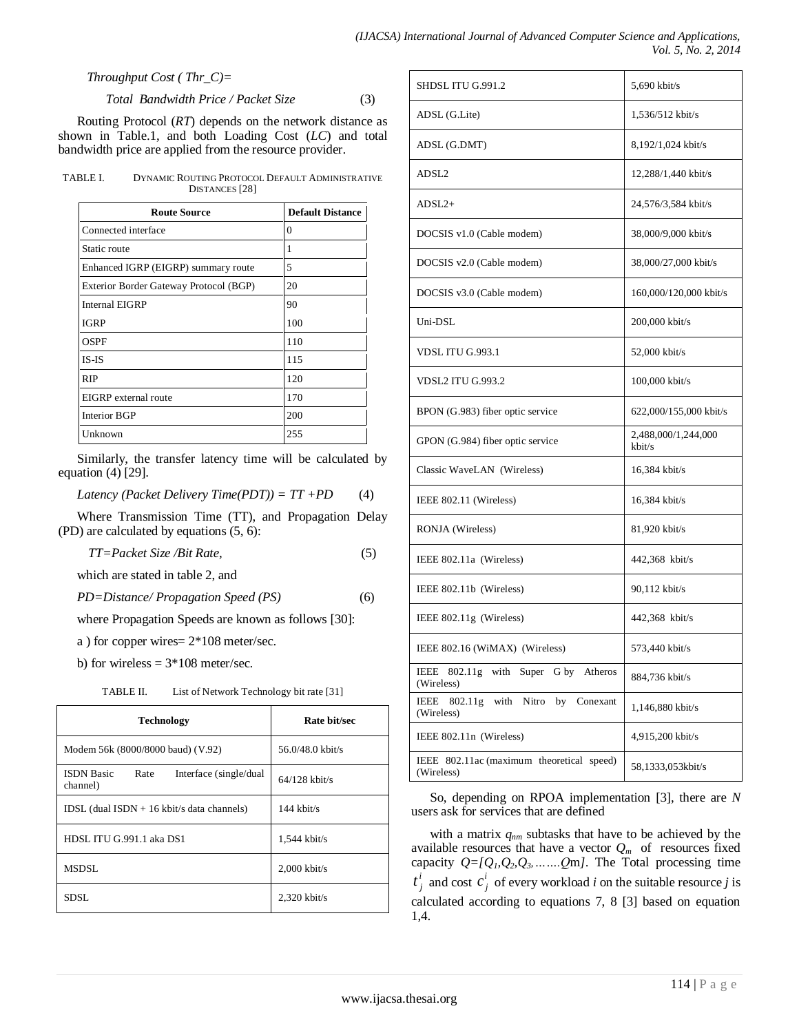*Throughput Cost ( Thr\_C)=*

 *Total Bandwidth Price / Packet Size* (3)

Routing Protocol (*RT*) depends on the network distance as shown in Table.1, and both Loading Cost (*LC*) and total bandwidth price are applied from the resource provider.

TABLE I. DYNAMIC ROUTING PROTOCOL DEFAULT ADMINISTRATIVE DISTANCES [28]

| <b>Route Source</b>                    | <b>Default Distance</b> |  |  |
|----------------------------------------|-------------------------|--|--|
| Connected interface                    | 0                       |  |  |
| Static route                           | 1                       |  |  |
| Enhanced IGRP (EIGRP) summary route    | 5                       |  |  |
| Exterior Border Gateway Protocol (BGP) | 20                      |  |  |
| <b>Internal EIGRP</b>                  | 90                      |  |  |
| <b>IGRP</b>                            | 100                     |  |  |
| OSPF                                   | 110                     |  |  |
| $IS$ - $IS$                            | 115                     |  |  |
| <b>RIP</b>                             | 120                     |  |  |
| EIGRP external route                   | 170                     |  |  |
| Interior BGP                           | 200                     |  |  |
| Unknown                                | 255                     |  |  |

Similarly, the transfer latency time will be calculated by equation (4) [29].

*Latency (Packet Delivery Time(PDT)) = TT +PD* (4)

Where Transmission Time (TT), and Propagation Delay (PD) are calculated by equations (5, 6):

*TT=Packet Size /Bit Rate,* (5)

which are stated in table 2, and

*PD=Distance/ Propagation Speed (PS)* (6)

where Propagation Speeds are known as follows [30]:

a ) for copper wires= 2\*108 meter/sec.

b) for wireless  $= 3*108$  meter/sec.

| List of Network Technology bit rate [31]<br>TABLE II. |  |
|-------------------------------------------------------|--|
|-------------------------------------------------------|--|

| <b>Technology</b>                                                | Rate bit/sec       |  |  |
|------------------------------------------------------------------|--------------------|--|--|
| Modem 56k (8000/8000 baud) (V.92)                                | $56.0/48.0$ kbit/s |  |  |
| <b>ISDN</b> Basic<br>Rate<br>Interface (single/dual)<br>channel) | $64/128$ kbit/s    |  |  |
| IDSL (dual ISDN $+$ 16 kbit/s data channels)                     | $144$ kbit/s       |  |  |
| HDSL ITU G.991.1 aka DS1                                         | $1,544$ kbit/s     |  |  |
| <b>MSDSL</b>                                                     | $2,000$ kbit/s     |  |  |
| SDSL.                                                            | $2,320$ kbit/s     |  |  |

| SHDSL ITU G.991.2                                                | 5,690 kbit/s                  |
|------------------------------------------------------------------|-------------------------------|
| ADSL (G.Lite)                                                    | 1,536/512 kbit/s              |
| ADSL (G.DMT)                                                     | 8,192/1,024 kbit/s            |
| ADSL <sub>2</sub>                                                | 12,288/1,440 kbit/s           |
| $ADSI.2+$                                                        | 24,576/3,584 kbit/s           |
| DOCSIS v1.0 (Cable modem)                                        | 38,000/9,000 kbit/s           |
| DOCSIS v2.0 (Cable modem)                                        | 38,000/27,000 kbit/s          |
| DOCSIS v3.0 (Cable modem)                                        | 160,000/120,000 kbit/s        |
| Uni-DSL                                                          | 200,000 kbit/s                |
| VDSLITUG.993.1                                                   | 52,000 kbit/s                 |
| <b>VDSL2 ITU G.993.2</b>                                         | 100,000 kbit/s                |
| BPON (G.983) fiber optic service                                 | 622,000/155,000 kbit/s        |
| GPON (G.984) fiber optic service                                 | 2,488,000/1,244,000<br>kbit/s |
| Classic WaveLAN (Wireless)                                       | 16,384 kbit/s                 |
| IEEE 802.11 (Wireless)                                           | 16,384 kbit/s                 |
| RONJA (Wireless)                                                 | 81,920 kbit/s                 |
| IEEE 802.11a (Wireless)                                          | 442,368 kbit/s                |
| IEEE 802.11b (Wireless)                                          | 90,112 kbit/s                 |
| IEEE 802.11g (Wireless)                                          | 442,368 kbit/s                |
| IEEE 802.16 (WiMAX) (Wireless)                                   | 573,440 kbit/s                |
| 802.11g<br>with<br>Super G by Atheros<br>IEEE<br>(Wireless)      | 884,736 kbit/s                |
| 802.11g<br>with<br>Nitro<br>IEEE<br>by<br>Conexant<br>(Wireless) | 1,146,880 kbit/s              |
| IEEE 802.11n (Wireless)                                          | 4,915,200 kbit/s              |
| IEEE 802.11ac (maximum theoretical speed)<br>(Wireless)          | 58,1333,053kbit/s             |

So, depending on RPOA implementation [3], there are *N* users ask for services that are defined

with a matrix *qnm* subtasks that have to be achieved by the available resources that have a vector  $Q_m$  of resources fixed capacity  $Q = [Q_1, Q_2, Q_3, \ldots, Q_m]$ . The Total processing time *i*  $t_j^i$  and cost  $c_j^i$  $c_j^i$  of every workload *i* on the suitable resource *j* is calculated according to equations 7, 8 [3] based on equation 1,4.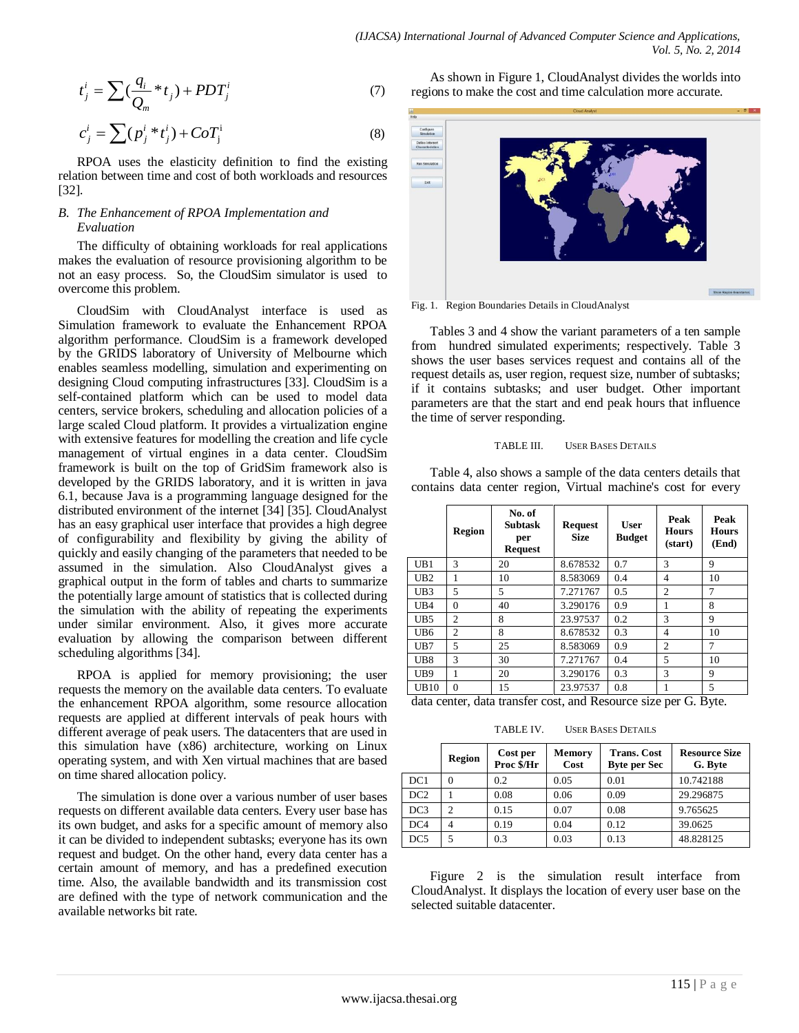$$
t_j^i = \sum \left(\frac{q_i}{Q_m} * t_j\right) + PDT_j^i \tag{7}
$$

$$
c_j^i = \sum (p_j^i * t_j^i) + CoT_j^i
$$
 (8)

RPOA uses the elasticity definition to find the existing relation between time and cost of both workloads and resources [32].

## *B. The Enhancement of RPOA Implementation and Evaluation*

The difficulty of obtaining workloads for real applications makes the evaluation of resource provisioning algorithm to be not an easy process. So, the CloudSim simulator is used to overcome this problem.

CloudSim with CloudAnalyst interface is used as Simulation framework to evaluate the Enhancement RPOA algorithm performance. CloudSim is a framework developed by the GRIDS laboratory of University of Melbourne which enables seamless modelling, simulation and experimenting on designing Cloud computing infrastructures [33]. CloudSim is a self-contained platform which can be used to model data centers, service brokers, scheduling and allocation policies of a large scaled Cloud platform. It provides a virtualization engine with extensive features for modelling the creation and life cycle management of virtual engines in a data center. CloudSim framework is built on the top of GridSim framework also is developed by the GRIDS laboratory, and it is written in java 6.1, because Java is a programming language designed for the distributed environment of the internet [34] [35]. CloudAnalyst has an easy graphical user interface that provides a high degree of configurability and flexibility by giving the ability of quickly and easily changing of the parameters that needed to be assumed in the simulation. Also CloudAnalyst gives a graphical output in the form of tables and charts to summarize the potentially large amount of statistics that is collected during the simulation with the ability of repeating the experiments under similar environment. Also, it gives more accurate evaluation by allowing the comparison between different scheduling algorithms [34].

RPOA is applied for memory provisioning; the user requests the memory on the available data centers. To evaluate the enhancement RPOA algorithm, some resource allocation requests are applied at different intervals of peak hours with different average of peak users. The datacenters that are used in this simulation have (x86) architecture, working on Linux operating system, and with Xen virtual machines that are based on time shared allocation policy.

The simulation is done over a various number of user bases requests on different available data centers. Every user base has its own budget, and asks for a specific amount of memory also it can be divided to independent subtasks; everyone has its own request and budget. On the other hand, every data center has a certain amount of memory, and has a predefined execution time. Also, the available bandwidth and its transmission cost are defined with the type of network communication and the available networks bit rate.

As shown in Figure 1, CloudAnalyst divides the worlds into regions to make the cost and time calculation more accurate.



Fig. 1. Region Boundaries Details in CloudAnalyst

Tables 3 and 4 show the variant parameters of a ten sample from hundred simulated experiments; respectively. Table 3 shows the user bases services request and contains all of the request details as, user region, request size, number of subtasks; if it contains subtasks; and user budget. Other important parameters are that the start and end peak hours that influence the time of server responding.

#### TABLE III. USER BASES DETAILS

Table 4, also shows a sample of the data centers details that contains data center region, Virtual machine's cost for every

|                 | <b>Region</b>  | No. of<br><b>Subtask</b><br>per<br><b>Request</b> | <b>Request</b><br><b>Size</b> | User<br><b>Budget</b> | Peak<br><b>Hours</b><br>(start) | Peak<br><b>Hours</b><br>(End) |
|-----------------|----------------|---------------------------------------------------|-------------------------------|-----------------------|---------------------------------|-------------------------------|
| UB1             | 3              | 20                                                | 8.678532                      | 0.7                   | $\mathcal{R}$                   | 9                             |
| UB2             | 1              | 10                                                | 8.583069                      | 0.4                   | 4                               | 10                            |
| UB <sub>3</sub> | 5              | 5                                                 | 7.271767                      | 0.5                   | $\overline{c}$                  | 7                             |
| UB4             | $\Omega$       | 40                                                | 3.290176                      | 0.9                   |                                 | 8                             |
| UB <sub>5</sub> | $\overline{c}$ | 8                                                 | 23.97537                      | 0.2                   | 3                               | 9                             |
| UB <sub>6</sub> | $\overline{c}$ | 8                                                 | 8.678532                      | 0.3                   | 4                               | 10                            |
| UB7             | 5              | 25                                                | 8.583069                      | 0.9                   | $\overline{c}$                  | 7                             |
| UB <sub>8</sub> | 3              | 30                                                | 7.271767                      | 0.4                   | 5                               | 10                            |
| UB <sub>9</sub> | 1              | 20                                                | 3.290176                      | 0.3                   | $\mathcal{R}$                   | 9                             |
| UB10            | $\Omega$       | 15                                                | 23.97537                      | 0.8                   |                                 | $\overline{5}$                |

data center, data transfer cost, and Resource size per G. Byte.

TABLE IV. USER BASES DETAILS

|                 | Region | Cost per<br>Proc \$/Hr | <b>Memory</b><br>Cost | <b>Trans. Cost</b><br><b>Byte per Sec</b> | <b>Resource Size</b><br>G. Byte |
|-----------------|--------|------------------------|-----------------------|-------------------------------------------|---------------------------------|
| DC1             |        | 0.2                    | 0.05                  | 0.01                                      | 10.742188                       |
| DC <sub>2</sub> |        | 0.08                   | 0.06                  | 0.09                                      | 29.296875                       |
| DC <sub>3</sub> | C      | 0.15                   | 0.07                  | 0.08                                      | 9.765625                        |
| DC4             |        | 0.19                   | 0.04                  | 0.12                                      | 39.0625                         |
| DC <sub>5</sub> |        | 0.3                    | 0.03                  | 0.13                                      | 48.828125                       |

Figure 2 is the simulation result interface from CloudAnalyst. It displays the location of every user base on the selected suitable datacenter.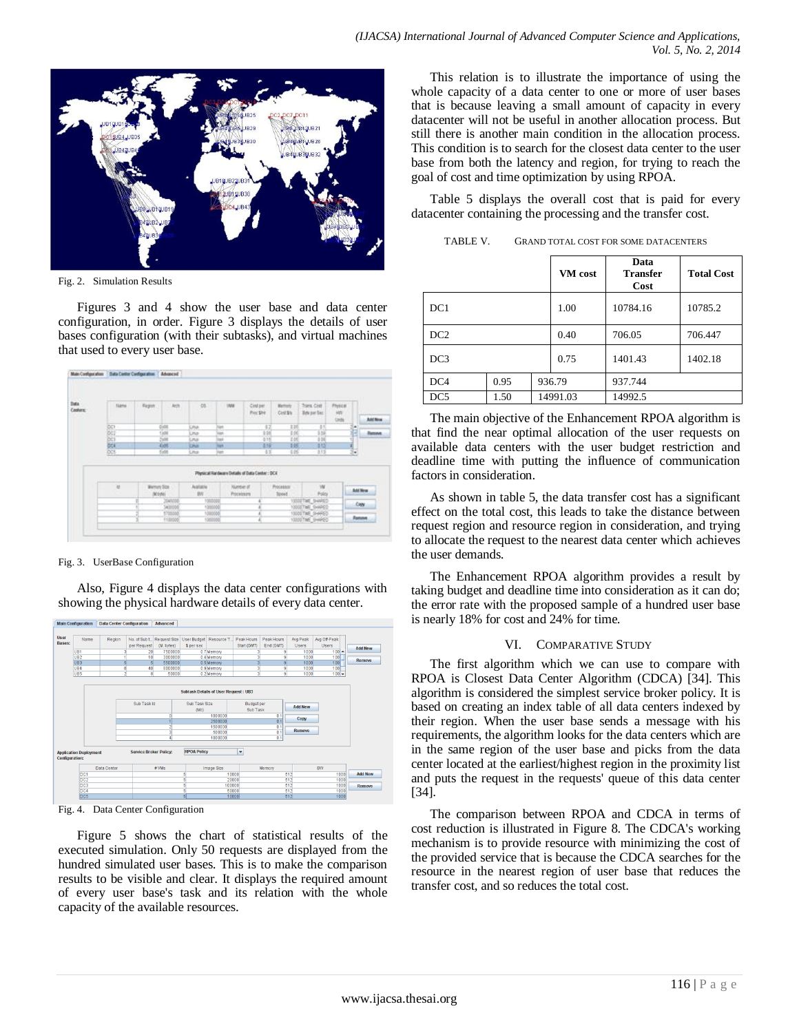

Fig. 2. Simulation Results

Figures 3 and 4 show the user base and data center configuration, in order. Figure 3 displays the details of user bases configuration (with their subtasks), and virtual machines that used to every user base.



#### Fig. 3. UserBase Configuration

Also, Figure 4 displays the data center configurations with showing the physical hardware details of every data center.



Fig. 4. Data Center Configuration

Figure 5 shows the chart of statistical results of the executed simulation. Only 50 requests are displayed from the hundred simulated user bases. This is to make the comparison results to be visible and clear. It displays the required amount of every user base's task and its relation with the whole capacity of the available resources.

This relation is to illustrate the importance of using the whole capacity of a data center to one or more of user bases that is because leaving a small amount of capacity in every datacenter will not be useful in another allocation process. But still there is another main condition in the allocation process. This condition is to search for the closest data center to the user base from both the latency and region, for trying to reach the goal of cost and time optimization by using RPOA.

Table 5 displays the overall cost that is paid for every datacenter containing the processing and the transfer cost.

|                 |      |      | VM cost  | Data<br><b>Transfer</b><br>Cost | <b>Total Cost</b> |
|-----------------|------|------|----------|---------------------------------|-------------------|
| DC1             |      |      | 1.00     | 10784.16                        | 10785.2           |
| DC <sub>2</sub> |      |      | 0.40     | 706.05                          | 706.447           |
| DC <sub>3</sub> |      | 0.75 | 1401.43  | 1402.18                         |                   |
| DC <sub>4</sub> | 0.95 |      | 936.79   | 937.744                         |                   |
| DC <sub>5</sub> | 1.50 |      | 14991.03 | 14992.5                         |                   |

TABLE V. GRAND TOTAL COST FOR SOME DATACENTERS

The main objective of the Enhancement RPOA algorithm is that find the near optimal allocation of the user requests on available data centers with the user budget restriction and deadline time with putting the influence of communication factors in consideration.

As shown in table 5, the data transfer cost has a significant effect on the total cost, this leads to take the distance between request region and resource region in consideration, and trying to allocate the request to the nearest data center which achieves the user demands.

The Enhancement RPOA algorithm provides a result by taking budget and deadline time into consideration as it can do; the error rate with the proposed sample of a hundred user base is nearly 18% for cost and 24% for time.

#### VI. COMPARATIVE STUDY

The first algorithm which we can use to compare with RPOA is Closest Data Center Algorithm (CDCA) [34]. This algorithm is considered the simplest service broker policy. It is based on creating an index table of all data centers indexed by their region. When the user base sends a message with his requirements, the algorithm looks for the data centers which are in the same region of the user base and picks from the data center located at the earliest/highest region in the proximity list and puts the request in the requests' queue of this data center [34].

The comparison between RPOA and CDCA in terms of cost reduction is illustrated in Figure 8. The CDCA's working mechanism is to provide resource with minimizing the cost of the provided service that is because the CDCA searches for the resource in the nearest region of user base that reduces the transfer cost, and so reduces the total cost.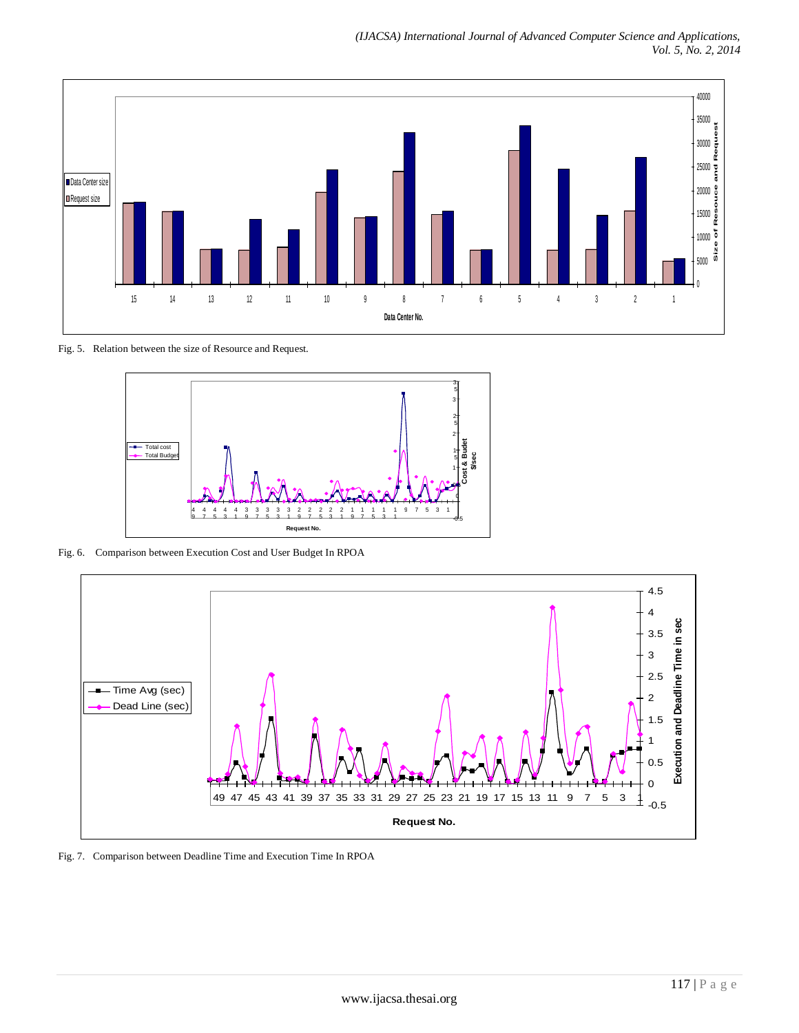

Fig. 5. Relation between the size of Resource and Request.



Fig. 6. Comparison between Execution Cost and User Budget In RPOA



Fig. 7. Comparison between Deadline Time and Execution Time In RPOA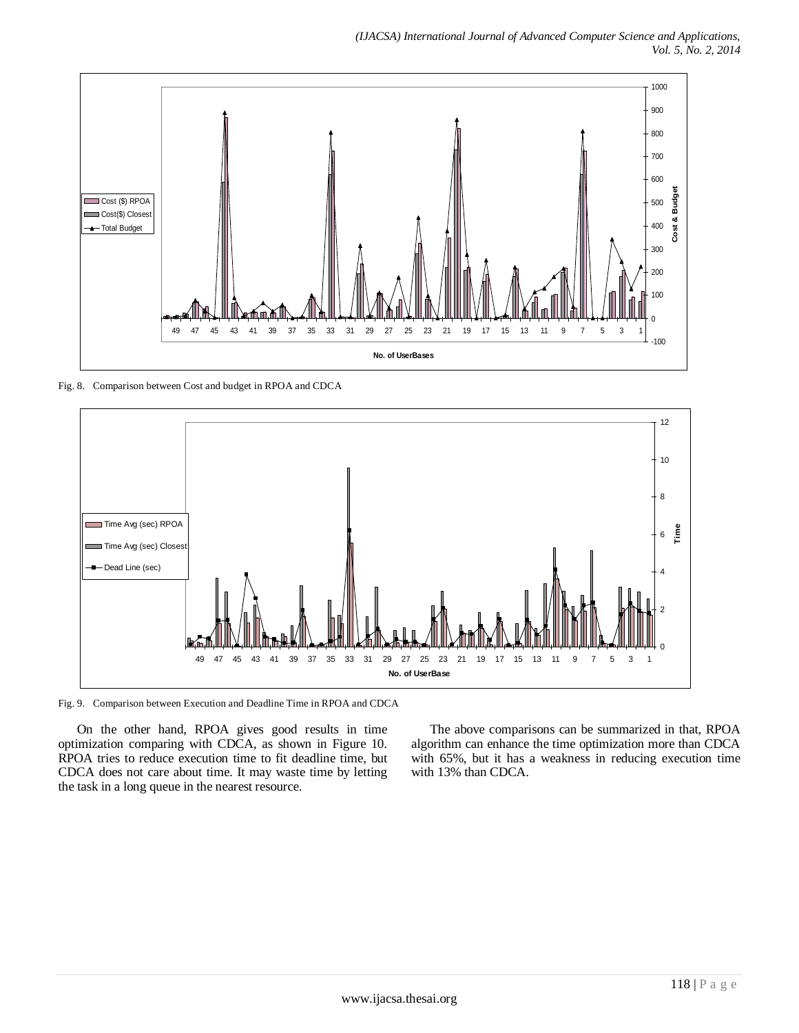

Fig. 8. Comparison between Cost and budget in RPOA and CDCA



Fig. 9. Comparison between Execution and Deadline Time in RPOA and CDCA

On the other hand, RPOA gives good results in time optimization comparing with CDCA, as shown in Figure 10. RPOA tries to reduce execution time to fit deadline time, but CDCA does not care about time. It may waste time by letting the task in a long queue in the nearest resource.

The above comparisons can be summarized in that, RPOA algorithm can enhance the time optimization more than CDCA with 65%, but it has a weakness in reducing execution time with 13% than CDCA.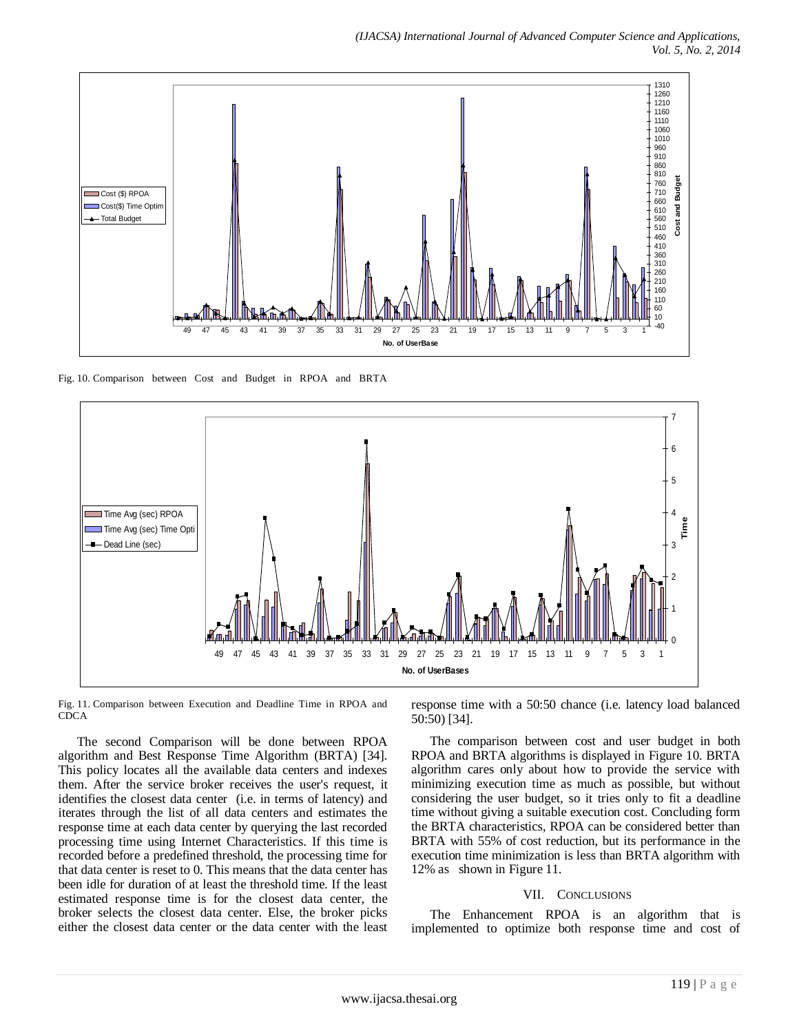

Fig. 10. Comparison between Cost and Budget in RPOA and BRTA



Fig. 11. Comparison between Execution and Deadline Time in RPOA and **CDCA** 

The second Comparison will be done between RPOA algorithm and Best Response Time Algorithm (BRTA) [34]. This policy locates all the available data centers and indexes them. After the service broker receives the user's request, it identifies the closest data center (i.e. in terms of latency) and iterates through the list of all data centers and estimates the response time at each data center by querying the last recorded processing time using Internet Characteristics. If this time is recorded before a predefined threshold, the processing time for that data center is reset to 0. This means that the data center has been idle for duration of at least the threshold time. If the least estimated response time is for the closest data center, the broker selects the closest data center. Else, the broker picks either the closest data center or the data center with the least response time with a 50:50 chance (i.e. latency load balanced 50:50) [34].

The comparison between cost and user budget in both RPOA and BRTA algorithms is displayed in Figure 10. BRTA algorithm cares only about how to provide the service with minimizing execution time as much as possible, but without considering the user budget, so it tries only to fit a deadline time without giving a suitable execution cost. Concluding form the BRTA characteristics, RPOA can be considered better than BRTA with 55% of cost reduction, but its performance in the execution time minimization is less than BRTA algorithm with 12% as shown in Figure 11.

#### VII. CONCLUSIONS

The Enhancement RPOA is an algorithm that is implemented to optimize both response time and cost of